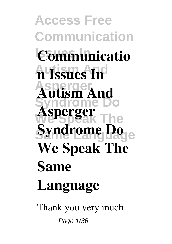**Access Free Communication Issues In Communicatio Autism And n Issues In Asperger Autism And Syndrome Do We Speak The** Syndrome Do<sub>ge</sub> **Asperger We Speak The Same Language** Thank you very much

Page 1/36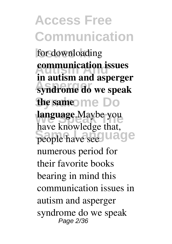**Access Free Communication** for downloading **Autism And in autism and asperger Asperger syndrome do we speak** the same me Do language.Maybe you people have see **Uage communication issues** have knowledge that, numerous period for their favorite books bearing in mind this communication issues in autism and asperger syndrome do we speak Page 2/36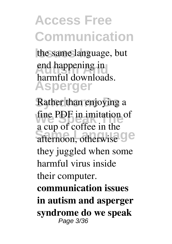the same language, but end happening in **Asperger** harmful downloads.

Rather than enjoying a fine PDF in imitation of afternoon, otherwise **S** a cup of coffee in the they juggled when some harmful virus inside their computer. **communication issues in autism and asperger syndrome do we speak** Page 3/36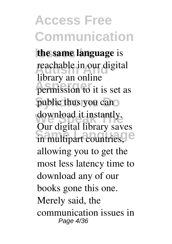**the same language** is reachable in our digital permission to it is set as public thus you can download it instantly. in multipart countries,<sup>e</sup> library an online Our digital library saves allowing you to get the most less latency time to download any of our books gone this one. Merely said, the communication issues in Page 4/36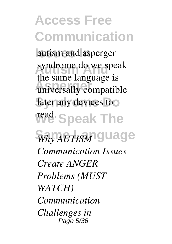autism and asperger syndrome do we speak **Asperger** universally compatible later any devices to **read.** Speak The the same language is

 $W$ <sup>N</sup> AUTISM<sup>I</sup> SUAGE *Communication Issues Create ANGER Problems (MUST WATCH) Communication Challenges in* Page 5/36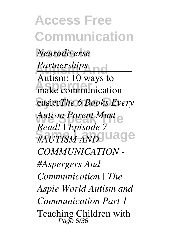**Access Free Communication Issues In** *Neurodiverse Partnerships* **Asperger** make communication easier*The 6 Books Every* Autism Parent Must<sub>e</sub> **Same Language** *#AUTISM AND* Autism: 10 ways to *Read! | Episode 7 COMMUNICATION - #Aspergers And Communication | The Aspie World Autism and Communication Part 1* Teaching Children with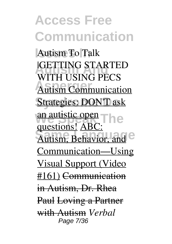**Access Free Communication Issues In** Autism To Talk **AUTILISM AND Autism Communication Strategies: DON'T ask** an autistic open The Autism, Behavior, and WITH USING PECS questions! ABC: Communication—Using Visual Support (Video #161) Communication in Autism, Dr. Rhea Paul Loving a Partner with Autism *Verbal* Page 7/36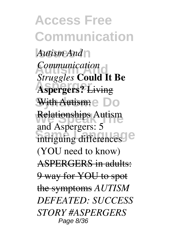**Access Free Communication** Autism And **Communication Asperger Aspergers?** Living With Autism: **Do** Relationships Autism intriguing differences<sup>1</sup> *Struggles* **Could It Be** and Aspergers: 5 (YOU need to know) ASPERGERS in adults: 9 way for YOU to spot the symptoms *AUTISM DEFEATED: SUCCESS STORY #ASPERGERS* Page 8/36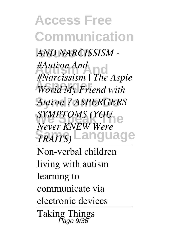**Access Free Communication Issues In** *AND NARCISSISM -* **Autism And** *#Autism And* **Asperger** *World My Friend with* **Syndrome Do** *Autism 7 ASPERGERS*  $\frac{SYMPTOMS (YOU)}{N \cdot \frac{V}{N} N^{T} U M}$ **Same Language** *TRAITS) #Narcissism | The Aspie Never KNEW Were*

Non-verbal children living with autism learning to communicate via electronic devices Taking Things Page 9/36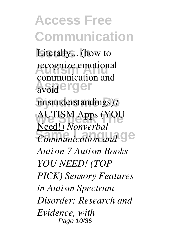**Access Free Communication** Literally... (how to **recognize emotional Asperger** avoid misunderstandings)<sub>7</sub> **AUTISM Apps (YOU Communication and** communication and Need!) *Nonverbal Autism 7 Autism Books YOU NEED! (TOP PICK) Sensory Features in Autism Spectrum Disorder: Research and Evidence, with* Page 10/36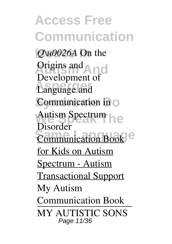**Access Free Communication Issues In** *Q\u0026A* On the Origins and **And Asperger** Language and **Communication in** Autism Spectrum **Communication Book** Development of Disorder for Kids on Autism Spectrum - Autism Transactional Support My Autism Communication Book MY AUTISTIC SONS Page 11/36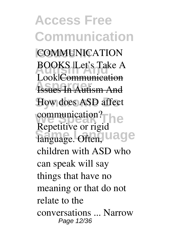**Access Free Communication COMMUNICATION BOOKS |Let's Take A Issues In Autism And** How does ASD affect communication?<br>
The **Same Language** language. Often, Look|<del>Communication</del> Repetitive or rigid children with ASD who can speak will say things that have no meaning or that do not relate to the conversations ... Narrow Page 12/36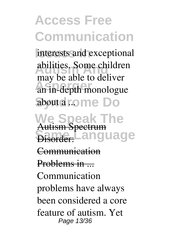interests and exceptional **Autism And** abilities. Some children As in the depth monologue about a r.ome Do may be able to deliver

#### **We Speak The Bisorder:** Language Autism Spectrum

**Communication** 

Problems in  $-$ 

Communication problems have always been considered a core feature of autism. Yet Page 13/36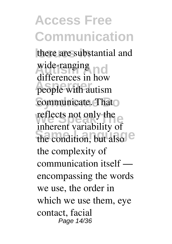there are substantial and wide-ranging<br>differences in hold **Asperger** people with autism communicate. That reflects not only the the condition, but also differences in how inherent variability of the complexity of communication itself encompassing the words we use, the order in which we use them, eye contact, facial Page 14/36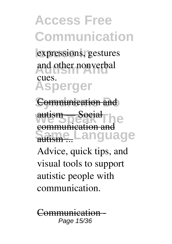expressions, gestures and other nonverbal **Asperger** cues.

**Communication and autism**<br> **Example**<br> **Example**<br> **Example**<br> **Example**<br> **Example**<br> **Example**<br> **Example**<br> **Example**<br> **Example**<br> **Example**<br> **Example**<br> **Example**<br> **Example Same Language** autism — Social autism

Advice, quick tips, and visual tools to support autistic people with communication.

Communication - Page 15/36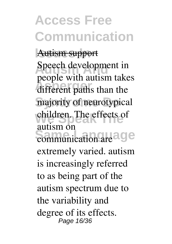#### **Autism support**

**Speech development in Asperger** different paths than the majority of neurotypical children. The effects of communication areage people with autism takes autism on extremely varied. autism is increasingly referred to as being part of the autism spectrum due to the variability and degree of its effects. Page 16/36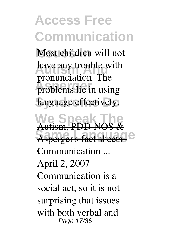Most children will not have any trouble with problems lie in using language effectively. pronunciation. The

We Speak The<br>Autism, PDD-NOS & Asperger's fact sheets | C Communication April 2, 2007 Communication is a social act, so it is not surprising that issues with both verbal and Page 17/36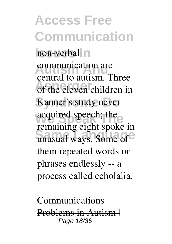**Access Free Communication** non-verbal **Communication are** of the eleven children in Kanner's study never acquired speech; the unusual ways. Some of central to autism. Three remaining eight spoke in them repeated words or phrases endlessly -- a process called echolalia.

Communications Problems in Autism | Page 18/36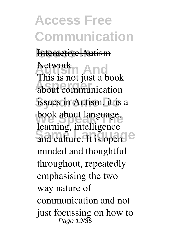#### **Interactive Autism**

**Autism And** Network **Asperger** about communication issues in Autism, it is a book about language, and culture. It is open This is not just a book learning, intelligence minded and thoughtful throughout, repeatedly emphasising the two way nature of communication and not just focussing on how to Page 19/36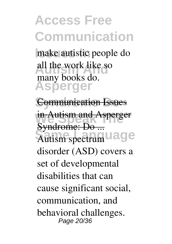make autistic people do **Autism And** all the work like so **Asperger** many books do.

**Communication Issues** in Autism and Asperger Autism spectrum **Lage** Syndrome: Do ... disorder (ASD) covers a set of developmental disabilities that can cause significant social, communication, and behavioral challenges. Page 20/36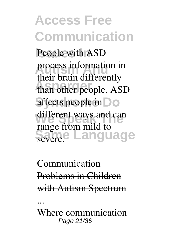#### **Access Free Communication** People with ASD process information in than other people. ASD affects people in  $\Box$ different ways and can **Same Language** severe. their brain differently range from mild to

**Communication** Problems in Children with Autism Spectrum

...

Where communication Page 21/36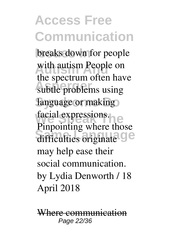breaks down for people with autism People on subtle problems using language or making facial expressions. difficulties originate<sup>9</sup> the spectrum often have Pinpointing where those may help ease their social communication. by Lydia Denworth / 18 April 2018

Where communication Page 22/36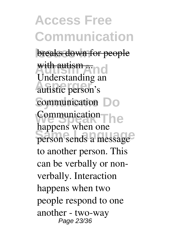**Access Free Communication breaks down for people** with autism<sub>And</sub> **Asperger** autistic person's **Communication** Do **Communication** person sends a message Understanding an happens when one to another person. This can be verbally or nonverbally. Interaction happens when two people respond to one another - two-way Page 23/36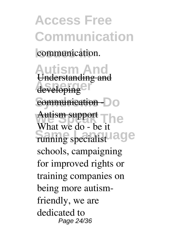**Access Free Communication** communication.

**Autism And** developing<sup>er</sup> **Communication** Do Autism support The **Tunning specialist lage** Understanding and What we do - be it schools, campaigning for improved rights or training companies on being more autismfriendly, we are dedicated to Page 24/36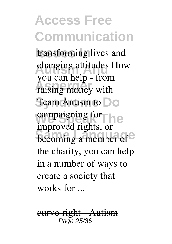transforming lives and changing attitudes How **Asperger** raising money with Team Autism to Do campaigning for **The Same Language**<br>becoming a member of you can help - from improved rights, or the charity, you can help in a number of ways to create a society that works for ...

curve-right - Autism Page 25/36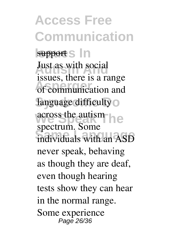**Access Free Communication** support<sub>S</sub> In **Just as with social Asperger** of communication and language difficulty across the autism<sup>-</sup>he individuals with an ASD issues, there is a range spectrum. Some never speak, behaving as though they are deaf, even though hearing tests show they can hear in the normal range. Some experience Page 26/36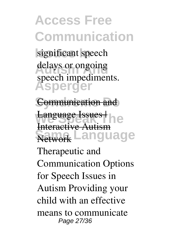significant speech delays or ongoing **Asperger** speech impediments.

**Communication and** Language Issues | ne **Retwork Language** Interactive Autism

Therapeutic and Communication Options for Speech Issues in Autism Providing your child with an effective means to communicate Page 27/36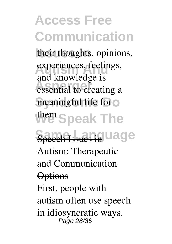their thoughts, opinions, experiences, feelings, essential to creating a meaningful life for  $\circ$ them.Speak The and knowledge is

Speech Issues in Uage Autism: Therapeutic and Communication **Options** First, people with autism often use speech in idiosyncratic ways. Page 28/36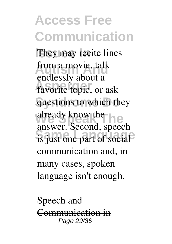**They may recite lines** from a movie, talk **Asperger** favorite topic, or ask questions to which they already know the **he Same West Second, Special** endlessly about a answer. Second, speech communication and, in many cases, spoken language isn't enough.

Speech and Communication in Page 29/36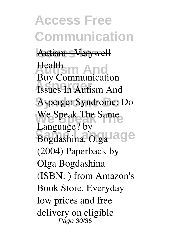**Access Free Communication Autism - Verywell Autism And** Health **Issues In Autism And** Asperger Syndrome: Do **We Speak The** We Speak The Same Bogdashina, Olga lage Buy Communication Language? by (2004) Paperback by Olga Bogdashina (ISBN: ) from Amazon's Book Store. Everyday low prices and free delivery on eligible Page 30/36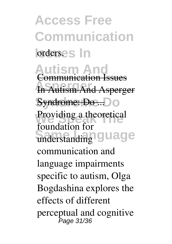**Autism And Asperger** In Autism And Asperger Syndrome: Do...<sup>D</sup>O Providing a theoretical understanding guage Communication Issues foundation for communication and language impairments specific to autism, Olga Bogdashina explores the effects of different perceptual and cognitive **P**age 31/36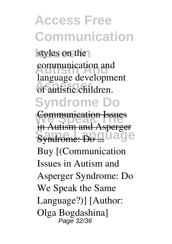styles on the **communication and Asperger** of autistic children. **Syndrome Do** language development

**Communication Issues Syndrome: Do ...** Uage in Autism and Asperger Buy [(Communication Issues in Autism and Asperger Syndrome: Do We Speak the Same Language?)] [Author: Olga Bogdashina] Page 32/36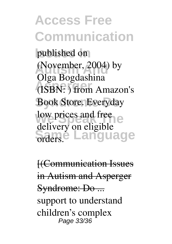#### **Access Free Communication** published on (November, 2004) by **Asperger** (ISBN: ) from Amazon's Book Store. Everyday low prices and free **Same Language** orders. Olga Bogdashina delivery on eligible

[(Communication Issues in Autism and Asperger Syndrome: Do ... support to understand children's complex Page 33/36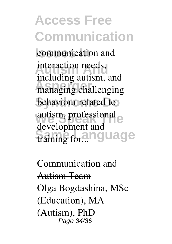communication and interaction needs, **Asperger** managing challenging behaviour related to autism, professional training for.... nguage including autism, and development and

Communication and Autism Team Olga Bogdashina, MSc (Education), MA (Autism), PhD Page 34/36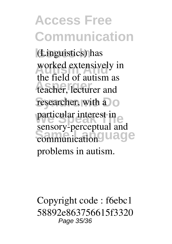(Linguistics) has worked extensively in **Asperger** teacher, lecturer and researcher, with a particular interest in communication<sup>o</sup> uage the field of autism as sensory-perceptual and problems in autism.

Copyright code : f6ebc1 58892e863756615f3320 Page 35/36